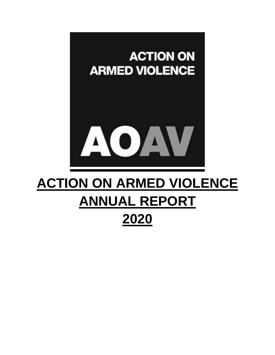

# **ACTION ON ARMED VIOLENCE ANNUAL REPORT 2020**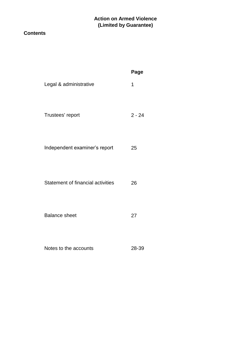### **Contents**

|                                   | Page     |
|-----------------------------------|----------|
| Legal & administrative            | 1        |
| Trustees' report                  | $2 - 24$ |
| Independent examiner's report     | 25       |
| Statement of financial activities | 26       |
| <b>Balance sheet</b>              | 27       |
| Notes to the accounts             | 28-39    |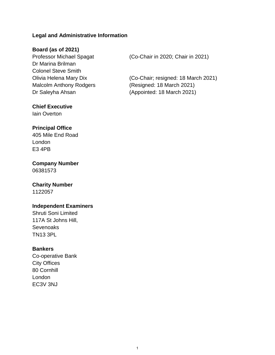### **Legal and Administrative Information**

### **Board (as of 2021)**

Dr Marina Brilman Colonel Steve Smith Malcolm Anthony Rodgers (Resigned: 18 March 2021) Dr Saleyha Ahsan (Appointed: 18 March 2021)

### **Chief Executive**

Iain Overton

#### **Principal Office**

405 Mile End Road London E3 4PB

### **Company Number** 06381573

### **Charity Number**

1122057

### **Independent Examiners**

Shruti Soni Limited 117A St Johns Hill, **Sevenoaks** TN13 3PL

### **Bankers**

Co-operative Bank City Offices 80 Cornhill London EC3V 3NJ

Professor Michael Spagat (Co-Chair in 2020; Chair in 2021)

Olivia Helena Mary Dix (Co-Chair; resigned: 18 March 2021)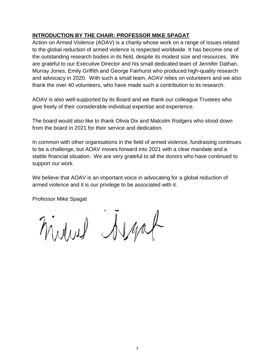### **INTRODUCTION BY THE CHAIR: PROFESSOR MIKE SPAGAT**

Action on Armed Violence (AOAV) is a charity whose work on a range of issues related to the global reduction of armed violence is respected worldwide. It has become one of the outstanding research bodies in its field, despite its modest size and resources. We are grateful to our Executive Director and his small dedicated team of Jennifer Dathan, Murray Jones, Emily Griffith and George Fairhurst who produced high-quality research and advocacy in 2020. With such a small team, AOAV relies on volunteers and we also thank the over 40 volunteers, who have made such a contribution to its research.

AOAV is also well-supported by its Board and we thank our colleague Trustees who give freely of their considerable individual expertise and experience.

The board would also like to thank Olivia Dix and Malcolm Rodgers who stood down from the board in 2021 for their service and dedication.

In common with other organisations in the field of armed violence, fundraising continues to be a challenge, but AOAV moves forward into 2021 with a clear mandate and a stable financial situation. We are very grateful to all the donors who have continued to support our work.

We believe that AOAV is an important voice in advocating for a global reduction of armed violence and it is our privilege to be associated with it.

Professor Mike Spagat

midwel Algat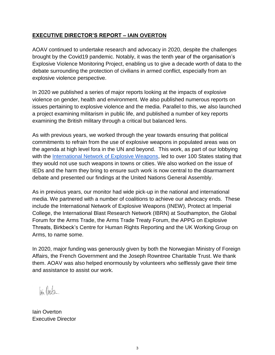### **EXECUTIVE DIRECTOR'S REPORT – IAIN OVERTON**

AOAV continued to undertake research and advocacy in 2020, despite the challenges brought by the Covid19 pandemic. Notably, it was the tenth year of the organisation's Explosive Violence Monitoring Project, enabling us to give a decade worth of data to the debate surrounding the protection of civilians in armed conflict, especially from an explosive violence perspective.

In 2020 we published a series of major reports looking at the impacts of explosive violence on gender, health and environment. We also published numerous reports on issues pertaining to explosive violence and the media. Parallel to this, we also launched a project examining militarism in public life, and published a number of key reports examining the British military through a critical but balanced lens.

As with previous years, we worked through the year towards ensuring that political commitments to refrain from the use of explosive weapons in populated areas was on the agenda at high level fora in the UN and beyond. This work, as part of our lobbying with th[e](http://www.inew.org/declaration-negotiations/) [International Network of Explosive Weapons,](http://www.inew.org/declaration-negotiations/) led to over 100 States stating that they would not use such weapons in towns or cities. We also worked on the issue of IEDs and the harm they bring to ensure such work is now central to the disarmament debate and presented our findings at the United Nations General Assembly.

As in previous years, our monitor had wide pick-up in the national and international media. We partnered with a number of coalitions to achieve our advocacy ends. These include the International Network of Explosive Weapons (INEW), Protect at Imperial College, the International Blast Research Network (IBRN) at Southampton, the Global Forum for the Arms Trade, the Arms Trade Treaty Forum, the APPG on Explosive Threats, Birkbeck's Centre for Human Rights Reporting and the UK Working Group on Arms, to name some.

In 2020, major funding was generously given by both the Norwegian Ministry of Foreign Affairs, the French Government and the Joseph Rowntree Charitable Trust. We thank them. AOAV was also helped enormously by volunteers who selflessly gave their time and assistance to assist our work.

lain Overla.

Iain Overton Executive Director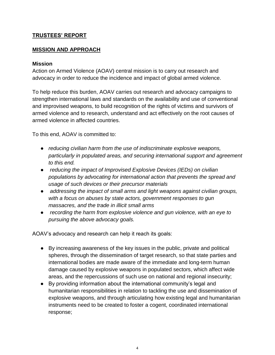### **TRUSTEES' REPORT**

### **MISSION AND APPROACH**

### **Mission**

Action on Armed Violence (AOAV) central mission is to carry out research and advocacy in order to reduce the incidence and impact of global armed violence.

To help reduce this burden, AOAV carries out research and advocacy campaigns to strengthen international laws and standards on the availability and use of conventional and improvised weapons, to build recognition of the rights of victims and survivors of armed violence and to research, understand and act effectively on the root causes of armed violence in affected countries.

To this end, AOAV is committed to:

- *reducing civilian harm from the use of indiscriminate explosive weapons, particularly in populated areas, and securing international support and agreement to this end.*
- *reducing the impact of Improvised Explosive Devices (IEDs) on civilian populations by advocating for international action that prevents the spread and usage of such devices or their precursor materials*
- *addressing the impact of small arms and light weapons against civilian groups, with a focus on abuses by state actors, government responses to gun massacres, and the trade in illicit small arms*
- *recording the harm from explosive violence and gun violence, with an eye to pursuing the above advocacy goals.*

AOAV's advocacy and research can help it reach its goals:

- By increasing awareness of the key issues in the public, private and political spheres, through the dissemination of target research, so that state parties and international bodies are made aware of the immediate and long-term human damage caused by explosive weapons in populated sectors, which affect wide areas, and the repercussions of such use on national and regional insecurity;
- By providing information about the international community's legal and humanitarian responsibilities in relation to tackling the use and dissemination of explosive weapons, and through articulating how existing legal and humanitarian instruments need to be created to foster a cogent, coordinated international response;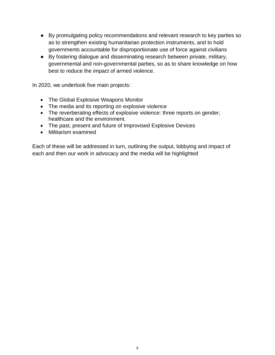- By promulgating policy recommendations and relevant research to key parties so as to strengthen existing humanitarian protection instruments, and to hold governments accountable for disproportionate use of force against civilians
- By fostering dialogue and disseminating research between private, military, governmental and non-governmental parties, so as to share knowledge on how best to reduce the impact of armed violence.

In 2020, we undertook five main projects:

- The Global Explosive Weapons Monitor
- The media and its reporting on explosive violence
- The reverberating effects of explosive violence: three reports on gender, healthcare and the environment.
- The past, present and future of Improvised Explosive Devices
- Militarism examined

Each of these will be addressed in turn, outlining the output, lobbying and impact of each and then our work in advocacy and the media will be highlighted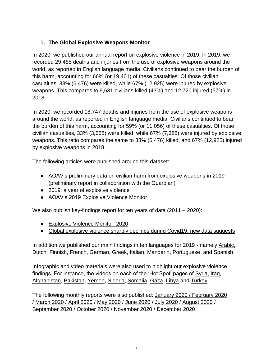# **1. The Global Explosive Weapons Monitor**

In 2020, we published our annual report on explosive violence in 2019. In 2019, we recorded 29,485 deaths and injuries from the use of explosive weapons around the world, as reported in English language media. Civilians continued to bear the burden of this harm, accounting for 66% (or 19,401) of these casualties. Of those civilian casualties, 33% (6,476) were killed, while 67% (12,925) were injured by explosive weapons. This compares to 9,631 civilians killed (43%) and 12,720 injured (57%) in 2018.

In 2020, we recorded 18,747 deaths and injuries from the use of explosive weapons around the world, as reported in English language media. Civilians continued to bear the burden of this harm, accounting for 59% (or 11,056) of these casualties. Of those civilian casualties, 33% (3,668) were killed, while 67% (7,388) were injured by explosive weapons. This ratio compares the same to 33% (6,476) killed, and 67% (12,925) injured by explosive weapons in 2018.

The following articles were published around this dataset:

- [AOAV's preliminary data on civilian harm from explosive weapons](https://aoav.org.uk/2020/explosive-violence-in-2019/) in 2019 (preliminary report in collaboration with the Guardian)
- [2019: a year of explosive violence](https://aoav.org.uk/explosiveviolence/explosive-violence-monitor-2019/)
- [AOAV's 2019 Explosive Violence Monitor](https://aoav.org.uk/wp-content/uploads/2020/09/Explosive-Violence-Monitor-2019-corrected-02.09.pdf)

We also publish key-findings report for ten years of data (2011 – 2020):

- [Explosive Violence Monitor: 2020](https://aoav.org.uk/2021/explosive-violence-in-2020/)
- [Global explosive violence sharply declines during Covid19, new data suggests](https://aoav.org.uk/2020/global-explosive-violence-sharply-declines-during-covid19-new-data-suggests/)

In addition we published our main findings in ten languages for 2019 - namely [Arabic,](https://aoav.org.uk/2020/2019-%d8%b1%d8%b5%d8%af-%d8%a7%d9%84%d8%b9%d9%86%d9%81-%d8%a7%d9%84%d9%86%d8%a7%d8%aa%d8%ac-%d8%b9%d9%86-%d8%a7%d8%b3%d8%aa%d8%ae%d8%af%d8%a7%d9%85-%d8%a7%d9%84%d8%a3%d8%b3%d9%84%d8%ad%d8%a9-%d8%a7/) [Dutch,](https://aoav.org.uk/2020/monitoring-explosief-geweld-in-2019/) [Finnish,](https://aoav.org.uk/2020/rajahdeiskuraportti-2019/) [French,](https://aoav.org.uk/2020/recensement-de-violence-explosives-en-2019/) [German,](https://aoav.org.uk/2020/monitorbericht-gewalt-durch-explosionswaffen-2019/) [Greek,](https://aoav.org.uk/2020/aoav-%cf%80%ce%b1%cf%81%ce%b1%ce%ba%ce%bf%ce%bb%ce%bf%cf%85%ce%b8%ce%b7%cf%83%ce%b7-%ce%b5%ce%ba%cf%81%ce%b7%ce%ba%cf%84%ce%b9%ce%ba%ce%b7%cf%82-%ce%b2%ce%b9%ce%b1%cf%82-2019/) [Italian,](https://aoav.org.uk/2020/monitor-di-violenze-esplosive-2019/) [Mandarin,](https://aoav.org.uk/2020/%e7%88%86%e7%82%b8%e6%80%a7%e6%9a%b4%e5%8a%9b%e7%9b%91%e6%b5%8b-2019/) [Portuguese](https://aoav.org.uk/2020/censo-de-violencia-explosiva-em-2019/) and [Spanish](https://aoav.org.uk/2020/el-monitor-de-la-violencia-explosiva-2019/)

Infographic and video materials were also used to highlight our explosive violence findings. For instance, the videos on each of the 'Hot Spot' pages of [Syria,](https://aoav.org.uk/explosiveviolence/syria/) [Iraq,](https://aoav.org.uk/explosiveviolence/iraq/) [Afghanistan,](https://aoav.org.uk/explosiveviolence/afghanistan/) [Pakistan,](https://aoav.org.uk/explosiveviolence/pakistan/) [Yemen,](https://aoav.org.uk/explosiveviolence/yemen/) [Nigeria,](https://aoav.org.uk/explosiveviolence/nigeria/) [Somalia,](https://aoav.org.uk/explosiveviolence/somalia/) [Gaza,](https://aoav.org.uk/explosiveviolence/gaza/) [Libya](https://aoav.org.uk/explosiveviolence/libya/) and [Turkey](https://aoav.org.uk/explosiveviolence/turkey/)

The following monthly reports were also published: [January](https://aoav.org.uk/2020/explosive-violence-in-january-2020/) 2020 / [February](https://aoav.org.uk/2020/explosive-violence-in-february-2020/) 2020 / [March](https://aoav.org.uk/2020/explosive-violence-in-march-2020/) 2020 / [April 2020](https://aoav.org.uk/2020/explosive-violence-in-april-2020/) / [May 2020](https://aoav.org.uk/2020/explosive-violence-in-may-2020/) / [June 2020](https://aoav.org.uk/2020/explosive-violence-in-june-2020/) / [July 2020](https://aoav.org.uk/2020/explosive-violence-in-july-2020/) / [August 2020](https://aoav.org.uk/2020/explosive-violence-in-august-2020/) / [September 2020](https://aoav.org.uk/2020/explosive-violence-in-september-2020/) / [October 2020](https://aoav.org.uk/2020/explosive-violence-in-october-2020/) / [November 2020](https://aoav.org.uk/2020/explosive-violence-in-november-2020/) / [December 2020](https://aoav.org.uk/2021/explosive-violence-in-december-2020/)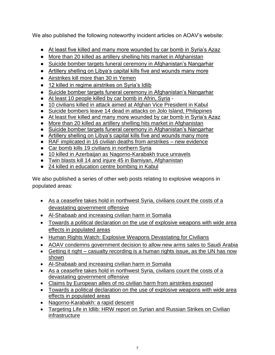We also published the following noteworthy incident articles on AOAV's website:

- [At least five killed and many more wounded by car bomb in Syria's Azaz](https://aoav.org.uk/2020/at-least-five-killed-and-many-more-wounded-by-car-bomb-in-syrias-azaz/)
- [More than 20 killed as artillery shelling hits market in Afghanistan](https://aoav.org.uk/2020/more-than-20-killed-as-artillery-shelling-hits-market-in-afghanistan/)
- [Suicide bomber targets funeral ceremony in Afghanistan's Nangarhar](https://aoav.org.uk/2020/suicide-bomber-targets-funeral-ceremony-in-afghanistans-nangarhar/)
- [Artillery shelling on Libya's capital kills five and wounds many more](https://aoav.org.uk/2020/artillery-shelling-on-libyas-capital-kills-five-and-wounds-many-more/)
- [Airstrikes kill more than 30 in Yemen](https://aoav.org.uk/2020/airstrikes-kill-more-than-30-in-yemen/)
- [12 killed in regime airstrikes on Syria's Idlib](https://aoav.org.uk/2020/12-killed-in-regime-airstrikes-on-syrias-idlib/)
- [Suicide bomber targets funeral ceremony in Afghanistan's Nangarhar](https://aoav.org.uk/2020/suicide-bomber-targets-funeral-ceremony-in-afghanistans-nangarhar/)
- [At least 10 people killed by car bomb](https://aoav.org.uk/2020/at-least-10-people-killed-in-car-bomb-in-afrin-syria/) in Afrin, Syria -
- [10 civilians killed in attack aimed at Afghan Vice President in Kabul](●%09https:/aoav.org.uk/2020/10-civilians-killed-in-attack-aimed-at-afghan-vice-president-in-kabul)
- [Suicide bombers leave 14 dead in attacks on Jolo Island, Philippines](●%09https:/aoav.org.uk/2020/suicide-bombers-leave-14-dead-in-attacks-on-jolo-island-philippines)
- [At least five killed and many more wounded by car bomb in Syria's Azaz](https://aoav.org.uk/2020/at-least-five-killed-and-many-more-wounded-by-car-bomb-in-syrias-azaz/)
- [More than 20 killed as artillery shelling hits market in Afghanistan](https://aoav.org.uk/2020/more-than-20-killed-as-artillery-shelling-hits-market-in-afghanistan/)
- [Suicide bomber targets funeral ceremony in Afghanistan's Nangarhar](https://aoav.org.uk/2020/suicide-bomber-targets-funeral-ceremony-in-afghanistans-nangarhar/)
- [Artillery shelling on Libya's capital kills five and wounds many more](https://aoav.org.uk/2020/artillery-shelling-on-libyas-capital-kills-five-and-wounds-many-more/)
- [RAF implicated in 16 civilian deaths from airstrikes –](https://aoav.org.uk/2020/raf-implicated-in-16-civilian-deaths-from-airstrikes/) new evidence
- [Car bomb kills 19 civilians in northern Syria](https://aoav.org.uk/2020/car-bomb-kills-19-civilians-in-northern-syria/)
- [10 killed in Azerbaijan as Nagorno-Karabakh truce unravels](https://aoav.org.uk/2020/10-killed-in-azerbaijan-as-nagorno-karabakh-truce-unravels/)
- [Twin blasts kill 14 and injure 45 in Bamiyan, Afghanistan](https://aoav.org.uk/2020/twin-blasts-kill-14-and-injure-45-in-bamiyan-afghanistan/)
- [24 killed in education centre bombing in Kabul](https://aoav.org.uk/2020/24-killed-in-education-centre-bombing-in-kabul/)

We also published a series of other web posts relating to explosive weapons in populated areas:

- [As a ceasefire takes hold in northwest Syria, civilians count the costs of a](https://aoav.org.uk/2020/as-a-ceasefire-takes-hold-in-northwest-syria-civilians-count-the-costs-of-a-devastating-government-offensive/) [devastating government offensive](https://aoav.org.uk/2020/as-a-ceasefire-takes-hold-in-northwest-syria-civilians-count-the-costs-of-a-devastating-government-offensive/)
- [Al-Shabaab and increasing civilian harm in Somalia](https://aoav.org.uk/2020/al-shabaab-and-increasing-civilian-harm-in-somalia/)
- [Towards a political declaration on the use of explosive weapons with wide area](https://aoav.org.uk/2020/towards-a-political-declaration-on-the-use-of-explosive-weapons-with-wide-area-effects-in-populated-areas/) [effects in populated areas](https://aoav.org.uk/2020/towards-a-political-declaration-on-the-use-of-explosive-weapons-with-wide-area-effects-in-populated-areas/)
- [Human Rights Watch: Explosive Weapons Devastating for Civilians](https://aoav.org.uk/2020/human-rights-watch-explosive-weapons-devastating-for-civilians/)
- [AOAV condemns government decision to allow new arms sales to Saudi Arabia](https://aoav.org.uk/2020/aoav-condemns-government-decision-to-allow-new-arms-sales-to-saudi-arabia/)
- Getting it right [casualty recording is a human rights issue, as the UN has now](https://aoav.org.uk/2020/getting-it-right-at-last-casualty-recording-is-a-human-rights-issue-as-the-un-has-now-shown/) [shown](https://aoav.org.uk/2020/getting-it-right-at-last-casualty-recording-is-a-human-rights-issue-as-the-un-has-now-shown/)
- [Al-Shabaab and increasing civilian harm in Somalia](https://aoav.org.uk/2020/al-shabaab-and-increasing-civilian-harm-in-somalia/)
- [As a ceasefire takes hold in northwest Syria, civilians count the costs of a](https://aoav.org.uk/2020/as-a-ceasefire-takes-hold-in-northwest-syria-civilians-count-the-costs-of-a-devastating-government-offensive/) [devastating government offensive](https://aoav.org.uk/2020/as-a-ceasefire-takes-hold-in-northwest-syria-civilians-count-the-costs-of-a-devastating-government-offensive/)
- Claims by European allies of [no civilian harm from airstrikes exposed](https://aoav.org.uk/2020/claims-by-european-allies-of-no-civilian-harm-from-airstrikes-exposed/)
- [Towards a political declaration on the use of explosive weapons with wide area](https://aoav.org.uk/2020/towards-a-political-declaration-on-the-use-of-explosive-weapons-with-wide-area-effects-in-populated-areas/) [effects in populated areas](https://aoav.org.uk/2020/towards-a-political-declaration-on-the-use-of-explosive-weapons-with-wide-area-effects-in-populated-areas/)
- [Nagorno-Karabakh: a rapid descent](https://aoav.org.uk/2020/nagorno-karabakh-a-rapid-descent/)
- [Targeting Life in Idlib: HRW report on Syrian and Russian Strikes on Civilian](https://aoav.org.uk/2020/targeting-life-in-idlib-human-rights-watch-releases-report-on-syrian-and-russian-strikes-on-civilian-infrastructure/) [infrastructure](https://aoav.org.uk/2020/targeting-life-in-idlib-human-rights-watch-releases-report-on-syrian-and-russian-strikes-on-civilian-infrastructure/)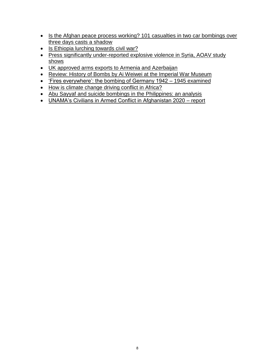- [Is the Afghan peace process working? 101 casualties in two car bombings over](https://aoav.org.uk/2020/is-the-afghan-peace-process-working-101-casualties-in-two-car-bombings-over-three-days-casts-a-shadow/) [three days casts a shadow](https://aoav.org.uk/2020/is-the-afghan-peace-process-working-101-casualties-in-two-car-bombings-over-three-days-casts-a-shadow/)
- [Is Ethiopia lurching towards civil war?](https://aoav.org.uk/2020/is-ethiopia-lurching-towards-civil-war/)
- [Press significantly under-reported explosive violence in Syria, AOAV study](https://aoav.org.uk/2020/uk-media-coverage-of-explosive-violence-in-the-syrian-conflict-examined/)https:/aoav.org.uk/2020/uk-media-coverage-of-explosive-violence-in-the-syrian-conflict-examined) [shows](https://aoav.org.uk/2020/uk-media-coverage-of-explosive-violence-in-the-syrian-conflict-examined/)https:/aoav.org.uk/2020/uk-media-coverage-of-explosive-violence-in-the-syrian-conflict-examined)
- [UK approved arms exports to Armenia and Azerbaijan](https://aoav.org.uk/2020/uk-arms-in-armenia-and-azerbaijan/)
- [Review: History of Bombs by Ai Weiwei at the Imperial War Museum](https://aoav.org.uk/2020/review-history-of-bombs-by-ai-weiwei-at-the-imperial-war-museum/)
- ['Fires everywhere': the bombing of Germany 1942 –](https://aoav.org.uk/2021/fires-everywhere-the-bombing-of-germany-1942-1945/) 1945 examined
- [How is climate change driving conflict in Africa?](https://aoav.org.uk/2021/how-is-climate-change-driving-conflict-in-africa/)
- [Abu Sayyaf and suicide bombings in the Philippines: an analysis](https://aoav.org.uk/2021/abu-sayyaf-and-suicide-bombings-in-the-philippines-an-analysis/)
- [UNAMA's Civilians in Armed Conflict in Afghanistan 2020 –](https://aoav.org.uk/2021/unamas-civilians-in-armed-conflict-in-afghanistan-2020-report/) report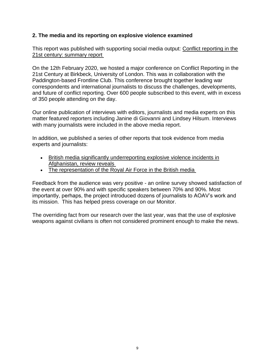### **2. The media and its reporting on explosive violence examined**

This report was published with supporting social media output: [Conflict reporting in the](https://aoav.org.uk/2020/conflict-reporting-in-the-21st-century-summary-report/)  [21st century: summary report](https://aoav.org.uk/2020/conflict-reporting-in-the-21st-century-summary-report/)

On the 12th February 2020, we hosted a major conference on Conflict Reporting in the 21st Century at Birkbeck, University of London. This was in collaboration with the Paddington-based Frontline Club. This conference brought together leading war correspondents and international journalists to discuss the challenges, developments, and future of conflict reporting. Over 600 people subscribed to this event, with in excess of 350 people attending on the day.

Our online publication of interviews with editors, journalists and media experts on this matter featured reporters including Janine di Giovanni and Lindsey Hilsum. Interviews with many journalists were included in the above media report.

In addition, we published a series of other reports that took evidence from media experts and journalists:

- [British media significantly underreporting explosive violence incidents in](https://aoav.org.uk/2019/british-media-significantly-underreporting-explosive-violence-incidents-in-afghanistan-review-reveals/) [Afghanistan, review reveals](https://aoav.org.uk/2019/british-media-significantly-underreporting-explosive-violence-incidents-in-afghanistan-review-reveals/)
- [The representation of the Royal Air Force in the British media](https://aoav.org.uk/2020/the-representation-of-the-royal-air-force-in-the-british-media-analysed/)

Feedback from the audience was very positive - an online survey showed satisfaction of the event at over 90% and with specific speakers between 70% and 90%. Most importantly, perhaps, the project introduced dozens of journalists to AOAV's work and its mission. This has helped press coverage on our Monitor.

The overriding fact from our research over the last year, was that the use of explosive weapons against civilians is often not considered prominent enough to make the news.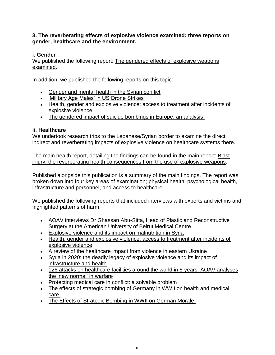**3. The reverberating effects of explosive violence examined: three reports on gender, healthcare and the environment.**

### **i. Gender**

We published the following report: [The gendered effects of explosive weapons](https://aoav.org.uk/2020/summary-report-from-a-joint-aoav-chatham-house-round-table-examining-gender-and-explosive-weapons/) [examined.](https://aoav.org.uk/2020/summary-report-from-a-joint-aoav-chatham-house-round-table-examining-gender-and-explosive-weapons/)

In addition, we published the following reports on this topic:

- [Gender and mental health in the Syrian conflict](https://aoav.org.uk/2019/gender-and-mental-health-in-the-syrian-conflict/)
- ['Military Age Males' in US Drone Strikes](https://aoav.org.uk/2019/military-age-males-in-us-drone-strikes/)
- [Health, gender and explosive violence: access to treatment after incidents of](https://aoav.org.uk/2020/health-gender-and-explosive-violence-access-to-treatment-after-incidents-of-explosive-violence/) [explosive violence](https://aoav.org.uk/2020/health-gender-and-explosive-violence-access-to-treatment-after-incidents-of-explosive-violence/)
- [The gendered impact of suicide bombings in Europe: an](https://aoav.org.uk/2019/the-gendered-impact-of-suicide-bombings-in-europe-an-analysis/) analysis

### **ii. Healthcare**

We undertook research trips to the Lebanese/Syrian border to examine the direct, indirect and reverberating impacts of explosive violence on healthcare systems there.

The main health report, detailing the findings can be found in the main report: [Blast](https://aoav.org.uk/wp-content/uploads/2020/07/Blast-Injury-V3.pdf)  [injury: the reverberating health consequences from the use of explosive weapons.](https://aoav.org.uk/wp-content/uploads/2020/07/Blast-Injury-V3.pdf)

Published alongside this publication is a [summary of the main findings.](https://aoav.org.uk/?p=26781) The report was broken down into four key areas of examination; [physical health,](https://aoav.org.uk/?p=26783) [psychological health,](https://aoav.org.uk/?p=26789) [infrastructure and personnel,](https://aoav.org.uk/?p=26794) and [access to healthcare.](https://aoav.org.uk/?p=26804)

We published the following reports that included interviews with experts and victims and highlighted patterns of harm:

- [AOAV interviews Dr Ghassan Abu-Sitta, Head of Plastic and Reconstructive](https://aoav.org.uk/2020/aoav-interviews-dr-ghassan-abu-sitta-head-of-plastic-and-reconstructive-surgery-at-the-american-university-of-beirut-medical-centre/) [Surgery at the American University of Beirut Medical Centre](https://aoav.org.uk/2020/aoav-interviews-dr-ghassan-abu-sitta-head-of-plastic-and-reconstructive-surgery-at-the-american-university-of-beirut-medical-centre/)
- [Explosive violence and its impact on malnutrition in Syria](https://aoav.org.uk/2020/explosive-violence-and-its-impact-on-malnutrition-in-syria/)
- [Health, gender and explosive violence: access to treatment after incidents of](https://aoav.org.uk/2020/health-gender-and-explosive-violence-access-to-treatment-after-incidents-of-explosive-violence/) [explosive violence](https://aoav.org.uk/2020/health-gender-and-explosive-violence-access-to-treatment-after-incidents-of-explosive-violence/)
- [A review of the healthcare impact from violence in eastern Ukraine](https://aoav.org.uk/2019/a-review-of-the-healthcare-impact-from-violence-in-eastern-ukraine/)
- [Syria in 2020: the deadly legacy of explosive violence and its impact of](https://aoav.org.uk/2019/syria-in-2020-the-deadly-legacy-of-explosive-violence-and-its-impact-on-infrastructure-and-health/) [infrastructure and health](https://aoav.org.uk/2019/syria-in-2020-the-deadly-legacy-of-explosive-violence-and-its-impact-on-infrastructure-and-health/)
- [126 attacks on healthcare facilities around the world in 5 years: AOAV analyses](https://aoav.org.uk/2019/2128-civilian-casualties-explosive-weapons-healthcare/) [the 'new normal' in warfare](https://aoav.org.uk/2019/2128-civilian-casualties-explosive-weapons-healthcare/)
- [Protecting medical care in conflict: a solvable problem](https://aoav.org.uk/2020/protecting-medical-care-in-conflict-a-solvable-problem/)
- [The effects of strategic bombing of Germany in WWII on health and medical](https://aoav.org.uk/2020/the-effects-of-strategic-bombing-of-germany-in-wwii-on-health-and-medical-care/) [care](https://aoav.org.uk/2020/the-effects-of-strategic-bombing-of-germany-in-wwii-on-health-and-medical-care/)
- [The Effects of Strategic Bombing in WWII on German Morale](https://aoav.org.uk/2020/the-effects-of-strategic-bombing-in-wwii-on-german-morale/)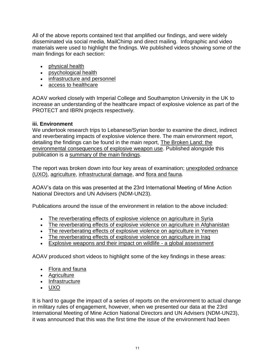All of the above reports contained text that amplified our findings, and were widely disseminated via social media, MailChimp and direct mailing. Infographic and video materials were used to highlight the findings. We published videos showing some of the main findings for each section:

- [physical health](https://youtu.be/QtqA1IDZPrg)
- [psychological health](https://youtu.be/TyWGTQNLlbE)
- [infrastructure and personnel](https://youtu.be/CfzQUluMp_c)
- [access to healthcare](https://youtu.be/fS5MzHVPyts)

AOAV worked closely with Imperial College and Southampton University in the UK to increase an understanding of the healthcare impact of explosive violence as part of the PROTECT and IBRN projects respectively.

### **iii. Environment**

We undertook research trips to Lebanese/Syrian border to examine the direct, indirect and reverberating impacts of explosive violence there. The main environment report, detailing the findings can be found in the main report, [The Broken Land: the](https://aoav.org.uk/wp-content/uploads/2020/04/The-Broken-Land-v4.pdf) [environmental consequences of explosive weapon use.](https://aoav.org.uk/wp-content/uploads/2020/04/The-Broken-Land-v4.pdf) Published alongside this publication is a [summary of the main findings.](https://aoav.org.uk/?p=26712)

The report was broken down into four key areas of examination; [unexploded ordnance](https://aoav.org.uk/?p=26677)  [\(UXO\),](https://aoav.org.uk/?p=26677) [agriculture,](https://aoav.org.uk/?p=26693) [infrastructural damage,](https://aoav.org.uk/?p=26684) and [flora and fauna.](https://aoav.org.uk/?p=26697)

AOAV's data on this was presented at the 23rd International Meeting of Mine Action National Directors and UN Advisers (NDM-UN23).

Publications around the issue of the environment in relation to the above included:

- [The reverberating effects of explosive violence on agriculture in Syria](https://aoav.org.uk/2020/the-reverberating-effects-of-explosive-violence-on-agriculture-in-syria/)
- [The reverberating effects of explosive violence on agriculture in Afghanistan](https://aoav.org.uk/2019/the-reverberating-effects-of-explosive-violence-on-agriculture-in-afghanistan/)
- [The reverberating effects of explosive violence on agriculture in Yemen](https://aoav.org.uk/2020/the-reverberating-effects-of-explosive-violence-on-agriculture-in-yemen/)
- The reverberating [effects of explosive violence on agriculture in Iraq](https://aoav.org.uk/2020/the-reverberating-effects-of-explosive-violence-on-agriculture-in-iraq/)
- [Explosive weapons and their impact on wildlife -](https://aoav.org.uk/2020/explosive-weapons-and-their-impact-on-wildlife-a-global-assessment/) a global assessment

AOAV produced short videos to highlight some of the key findings in these areas:

- [Flora and fauna](https://www.youtube.com/watch?v=Yd1gZge2rFs)
- [Agriculture](https://www.youtube.com/watch?v=SSlEAnrMO0w)
- [Infrastructure](https://www.youtube.com/watch?v=JjFMR9ncC-A)
- [UXO](https://www.youtube.com/watch?v=wIYQjYrnBII)

It is hard to gauge the impact of a series of reports on the environment to actual change in military rules of engagement, however, when we presented our data at the 23rd International Meeting of Mine Action National Directors and UN Advisers (NDM-UN23), it was announced that this was the first time the issue of the environment had been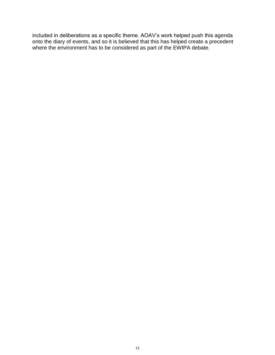included in deliberations as a specific theme. AOAV's work helped push this agenda onto the diary of events, and so it is believed that this has helped create a precedent where the environment has to be considered as part of the EWIPA debate.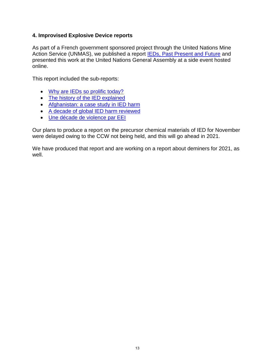### **4. Improvised Explosive Device reports**

As part of a French government sponsored project through the United Nations Mine Action Service (UNMAS), we published a report **IEDs**, Past Present and Future and presented this work at the United Nations General Assembly at a side event hosted online.

This report included the sub-reports:

- [Why are IEDs so prolific today?](https://aoav.org.uk/2020/why-are-ieds-so-prolific-today/)
- [The history of the IED explained](https://aoav.org.uk/2020/the-history-of-the-ied-explained/)
- [Afghanistan: a case study in IED harm](https://aoav.org.uk/2020/afghanistan-a-case-study-in-ied-harm/)
- [A decade of global IED harm reviewed](https://aoav.org.uk/2020/a-decade-of-global-ied-harm-reviewed/)
- [Une décade de violence par EEI](•%09https:/aoav.org.uk/2020/une-decade-de-violence-par-eei-2)

Our plans to produce a report on the precursor chemical materials of IED for November were delayed owing to the CCW not being held, and this will go ahead in 2021.

We have produced that report and are working on a report about deminers for 2021, as well.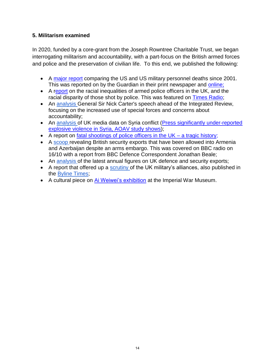### **5. Militarism examined**

In 2020, funded by a core-grant from the Joseph Rowntree Charitable Trust, we began interrogating militarism and accountability, with a part-focus on the British armed forces and police and the preservation of civilian life. To this end, we published the following:

- A [major report](https://aoav.org.uk/2020/for-all-was-lost-comparing-uk-us-military-deaths-in-the-war-on-terror/) comparing the US and US military personnel deaths since 2001. This was reported on by the Guardian in their print newspaper and [online;](https://www.theguardian.com/uk-news/2020/dec/04/uk-soldiers-more-likely-die-us-troops-war-terror)
- A [report](https://aoav.org.uk/2020/one-in-four-shot-by-uk-police-are-black-yet-tiny-fraction-of-armed-officers-are-black-study-finds/) on the racial inequalities of armed police officers in the UK, and the racial disparity of those shot by police. This was featured on [Times Radio;](https://www.thetimes.co.uk/radio)
- An [analysis G](https://aoav.org.uk/2020/why-the-special-treatment-an-analysis-of-the-british-militarys-integrated-operating-concept/)eneral Sir Nick Carter's speech ahead of the Integrated Review, focusing on the increased use of special forces and concerns about accountability;
- An [analysis o](https://aoav.org.uk/2020/uk-media-coverage-of-explosive-violence-in-the-syrian-conflict-examined/)f UK media data on Syria conflict [\(Press significantly under-reported](https://aoav.org.uk/2020/uk-media-coverage-of-explosive-violence-in-the-syrian-conflict-examined/)https:/aoav.org.uk/2020/uk-media-coverage-of-explosive-violence-in-the-syrian-conflict-examined) [explosive violence in Syria, AOAV study shows\)](https://aoav.org.uk/2020/uk-media-coverage-of-explosive-violence-in-the-syrian-conflict-examined/)https:/aoav.org.uk/2020/uk-media-coverage-of-explosive-violence-in-the-syrian-conflict-examined);
- A report on fatal shootings of police officers in the  $UK a$  tragic history;
- A [scoop r](https://aoav.org.uk/2020/uk-arms-in-armenia-and-azerbaijan/)evealing British security exports that have been allowed into Armenia and Azerbaijan despite an arms embargo. This was covered on BBC radio on 16/10 with a report from BBC Defence Correspondent Jonathan Beale;
- An [analysis o](https://aoav.org.uk/2020/the-uks-2019-defence-and-security-exports-examined/)f the latest annual figures on UK defence and security exports;
- A report that offered up a [scrutiny o](https://aoav.org.uk/2020/a-force-for-good-britains-overseas-military-alliances-held-up-to-scrutiny/)f the UK military's alliances, also published in the [Byline Times;](https://bylinetimes.com/2020/10/26/brexit-britain-military-human-rights/)
- A cultural piece on [Ai Weiwei's exhibition](https://aoav.org.uk/2020/review-history-of-bombs-by-ai-weiwei-at-the-imperial-war-museum/) at the Imperial War Museum.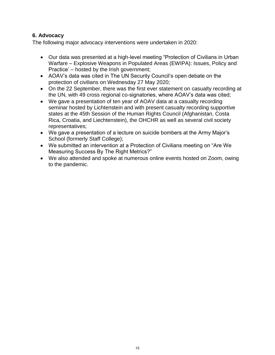### **6. Advocacy**

The following major advocacy interventions were undertaken in 2020:

- Our data was presented at a high-level meeting "Protection of Civilians in Urban Warfare – Explosive Weapons in Populated Areas (EWIPA): Issues, Policy and Practice' – hosted by the Irish government;
- AOAV's data was cited in The UN Security Council's open debate on the protection of civilians on Wednesday 27 May 2020;
- On the 22 September, there was the first ever statement on casualty recording at the UN, with 49 cross regional co-signatories, where AOAV's data was cited;
- We gave a presentation of ten year of AOAV data at a casualty recording seminar hosted by Lichtenstein and with present casualty recording supportive states at the 45th Session of the Human Rights Council (Afghanistan, Costa Rica, Croatia, and Liechtenstein), the OHCHR as well as several civil society representatives;
- We gave a presentation of a lecture on suicide bombers at the Army Major's School (formerly Staff College);
- We submitted an intervention at a Protection of Civilians meeting on "Are We Measuring Success By The Right Metrics?"
- We also attended and spoke at numerous online events hosted on Zoom, owing to the pandemic.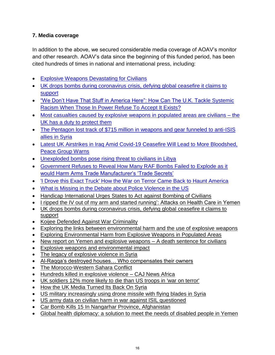### **7. Media coverage**

In addition to the above, we secured considerable media coverage of AOAV's monitor and other research. AOAV's data since the beginning of this funded period, has been cited hundreds of times in national and international press, including[:](https://www.analisidifesa.it/2019/03/londra-una-sola-vittima-civile-in-oltre-1700-raid-della-raf-contro-lisis/)

- [Explosive Weapons Devastating for Civilians](http://hrw.org/news/2020/02/06/explosive-weapons-devastating-civilians%20Explosive%20Weapons%20Devastating%20for%20Civilians)
- [UK drops bombs during coronavirus crisis, defying global ceasefire it claims to](https://www.thecanary.co/uk/analysis/2020/04/27/uk-drops-bombs-during-coronavirus-crisis-defying-global-ceasefire-it-claims-to-support/) [support](https://www.thecanary.co/uk/analysis/2020/04/27/uk-drops-bombs-during-coronavirus-crisis-defying-global-ceasefire-it-claims-to-support/)
- ["We Don't Have That Stuff in America Here": How Can The U.K. Tackle Systemic](https://theowp.org/we-dont-have-that-stuff-in-america-here-how-can-the-u-k-tackle-systemic-racism-when-those-in-power-refuse-to-accept-it-exists/) [Racism When Those In Power Refuse To Accept It Exists?](https://theowp.org/we-dont-have-that-stuff-in-america-here-how-can-the-u-k-tackle-systemic-racism-when-those-in-power-refuse-to-accept-it-exists/)
- [Most casualties caused by explosive weapons in populated areas are civilians –](https://www.independent.co.uk/voices/bombings-gaza-raqqa-syria-palestine-civilian-casualties-deaths-a9325586.html) the [UK has a duty to protect them](https://www.independent.co.uk/voices/bombings-gaza-raqqa-syria-palestine-civilian-casualties-deaths-a9325586.html)
- [The Pentagon lost track of \\$715 million in weapons and gear funneled to anti-ISIS](https://taskandpurpose.com/news/syria-weapons-isis-pentagon-inspector-general-report) [allies in Syria](https://taskandpurpose.com/news/syria-weapons-isis-pentagon-inspector-general-report)
- [Latest UK Airstrikes in Iraq Amid Covid-19 Ceasefire Will Lead to More Bloodshed,](https://sputniknews.com/interviews/202004291079123760-latest-uk-airstrikes-in-iraq-amid-covid-19-ceasefire-will-lead-to-more-bloodshed-peace-group-warns/) [Peace Group Warns](https://sputniknews.com/interviews/202004291079123760-latest-uk-airstrikes-in-iraq-amid-covid-19-ceasefire-will-lead-to-more-bloodshed-peace-group-warns/)
- [Unexploded bombs pose rising threat to civilians in Libya](https://www.theguardian.com/global-development/2020/feb/17/unexploded-bombs-pose-rising-threat-to-civilians-in-libya)
- [Government Refuses to Reveal How Many RAF Bombs Failed to Explode as it](•%09https:/bylinetimes.com/2020/02/05/government-refuses-to-reveal-how-many-raf-bombs-failed-to-explode-as-it-would-harm-arms-trade-manufacturers-trade-secrets) [would Harm Arms Trade Manufacturer's 'Trade Secrets'](•%09https:/bylinetimes.com/2020/02/05/government-refuses-to-reveal-how-many-raf-bombs-failed-to-explode-as-it-would-harm-arms-trade-manufacturers-trade-secrets)
- ['I Drove this Exact Truck' How the War on Terror Came Back to Haunt America](https://bylinetimes.com/2020/06/04/i-drove-this-exact-truck-how-the-war-on-terror-came-back-to-haunt-america)
- [What is Missing in the Debate about Police Violence in the US](•%09https:/bylinetimes.com/2020/06/01/what-is-missing-in-the-debate-about-police-violence-in-the-us)
- [Handicap International Urges States to Act against Bombing of Civilians](https://chronicle.lu/category/charity-volunteering/31992-handicap-international-urges-states-to-act-against-bombing-of-civilians)
- [I ripped the IV out of my arm and started running': Attacks on Health Care in Yemen](https://phr.org/our-work/resources/i-ripped-the-iv-out-of-my-arm-and-started-running-attacks-on-health-care-in-yemen/)
- [UK drops bombs during coronavirus crisis, defying global ceasefire it claims to](https://www.thecanary.co/uk/analysis/2020/04/27/uk-drops-bombs-during-coronavirus-crisis-defying-global-ceasefire-it-claims-to-support/) [support](https://www.thecanary.co/uk/analysis/2020/04/27/uk-drops-bombs-during-coronavirus-crisis-defying-global-ceasefire-it-claims-to-support/)
- [Koijee Defended Against War Criminality](https://inprofiledaily.com/inprofile/index.php/2020/04/28/koijee-defended-against-war-criminality/)
- **[Exploring the links between environmental harm and the use of explosive weapons](http://www.inew.org/exploring-the-links-between-environmental-harm-and-the-use-of-explosive-weapons/)**
- [Exploring Environmental Harm from Explosive Weapons in Populated Areas](https://humanitariandisarmament.org/2020/05/29/exploring-environmental-harm-from-explosive-weapons-in-populated-areas/)
- [New report on Yemen and explosive weapons –](https://www.charitytoday.co.uk/new-report-on-yemen-and-explosive-weapons-a-death-sentence-for-civilians/) A death sentence for civilians
- [Explosive weapons and environmental impact](https://www.losservatorio.org/en/civlians-in-conflict/reports/item/1899-explosive-weapons-and-environmental-impact)
- [The legacy of explosive violence in Syria](https://www.losservatorio.org/en/civlians-in-conflict/reports/item/1792-the-legacy-of-explosive-violence-in-syria)
- [Al-Raqqa's destroyed houses… Who compensates their owners](https://english.enabbaladi.net/archives/2020/08/al-raqqas-destroyed-houses-who-compensates-their-owners/)
- [The Morocco-Western Sahara Conflict](https://borgenproject.org/the-morocco-western-sahara-conflict/)
- [Hundreds killed in explosive violence –](https://www.globaldiasporanews.com/hundreds-killed-in-explosive-violence-caj-news-africa/) CAJ News Africa
- [UK soldiers 12% more likely to die than US troops in 'war on terror'](https://www.theguardian.com/uk-news/2020/dec/04/uk-soldiers-more-likely-die-us-troops-war-terror)
- [How the UK Media Turned Its Back On Syria](https://bylinetimes.com/2020/10/07/sanitising-war-how-the-uk-media-turned-its-back-on-syria/)
- [US military increasingly using drone missile with flying blades in Syria](https://www.theguardian.com/world/2020/sep/25/us-military-syria-non-explosive-drone-missile-blades)
- [US army data on civilian harm in war against ISIL questioned](https://www.aljazeera.com/news/2020/11/27/us-led-coalition-against-isil-resulted-in-civilian-harm)
- [Car Bomb Kills 15 In Nangarhar Province, Afghanistan](https://theowp.org/car-bomb-kills-15-in-nangarhar-province-afghanistan/)
- [Global health diplomacy: a solution to meet the needs of disabled people in Yemen](https://conflictandhealth.biomedcentral.com/articles/10.1186/s13031-020-00310-z)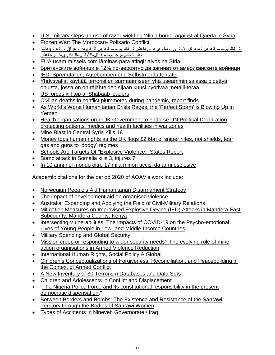- U.S. military steps up [use of razor-wielding 'Ninja bomb' against al Qaeda in Syria](https://www.owensoundsuntimes.com/news/u-s-military-steps-up-use-of-razor-wielding-ninja-bomb-against-al-qaeda-in-syria/wcm/eb65e7e4-355f-4a3a-ae3f-630aeef4ed2c)
- [Frozen War: The Moroccan-](https://smallwarsjournal.com/jrnl/art/frozen-war-moroccan-polisario-conflict) Polisario Conflict
- [مال ت نظي-زع يم-ل م ق تل-األول ى-ال ذك رى-ف ي-داعش](https://www.radiosawa.com/iraqtonight/2020/10/29/)-[ت نظ يم-م س ت ق بل](https://www.radiosawa.com/iraqtonight/2020/10/29/) ل م ق تل األول ى ال ذك رى ف ي داعش ت نظ يم م س ت ق بل ال ل ي لة ال عراق ل ت ع ل ي قاتا
- [EUA usam mísseis com lâminas para atingir alvos na Síria](https://www.rtp.pt/noticias/mundo/eua-usam-misseis-com-laminas-para-atingir-alvos-na-siria_n1261903)
- [Британските войници е 12% по-вероятно да загинат от американските войници](https://news.bg/world/britanskite-voynitsi-e-12-po-veroyatno-da-zaginat-ot-amerikanskite-voynitsi.html)
- [IED: Sprengfallen, Autobomben und Selbstmordattentate](https://www.bundeswehr-journal.de/2020/ied-sprengfallen-autobomben-und-selbstmordattentate/)
- [Yhdysvallat käyttää terroristien surmaamiseen yhä useammin salassa pidettyä](https://www.hs.fi/ulkomaat/art-2000006649430.html) [ohjusta, jossa on on räjähteiden sijaan kuusi pyörivää metalli-terää](https://www.hs.fi/ulkomaat/art-2000006649430.html)
- [US forces kill top al-Shabaab leaders](https://www.aa.com.tr/en/africa/somali-us-forces-kill-top-al-shabaab-leaders/2115970)
- [Civilian deaths in conflict plummeted during pandemic, report finds](https://www.theguardian.com/global-development/2021/mar/03/civilian-deaths-in-conflict-plummeted-during-pandemic-report-finds)
- [As World's Worst Humanitarian Crisis Rages, the 'Perfect Storm' is Blowing Up in](https://www.newsweek.com/worlds-worst-humanitarian-crisis-rages-perfect-storm-blowing-yemen-1572544) [Yemen](https://www.newsweek.com/worlds-worst-humanitarian-crisis-rages-perfect-storm-blowing-yemen-1572544)
- [Health organisations urge UK Government to endorse UN Political Declaration](https://www.politicshome.com/members/article/health-organisations-urge-uk-government-to-endorse-un-political-declaration-protecting-patients-medics-and-health-facilities-in-war-zones) [protecting patients, medics and health facilities in war zones](https://www.politicshome.com/members/article/health-organisations-urge-uk-government-to-endorse-un-political-declaration-protecting-patients-medics-and-health-facilities-in-war-zones)
- [Mine Blast in Central Syria Kills 18](https://www.thedefensepost.com/2021/03/08/syria-mine-blast-kills-18/)
- [Money tops human rights as the UK flogs £2.6bn of sniper rifles, riot shields, tear](https://www.rt.com/op-ed/513809-uk-arms-sales-military-equipment/) [gas and guns to 'dodgy' regimes](https://www.rt.com/op-ed/513809-uk-arms-sales-military-equipment/)
- [Schools Are Targets Of "Explosive Violence," States Report](https://www.moms.com/schools-target-explosive-violence-report/)
- [Bomb attack in Somalia kills 3, injures 7](https://www.aa.com.tr/en/africa/bomb-attack-in-somalia-kills-3-injures-7/2101838)
- [In 10 anni nel mondo oltre 17 mila minori uccisi da armi esplosive](https://www.difesapopolo.it/Fatti/In-10-anni-nel-mondo-oltre-17-mila-minori-uccisi-da-armi-esplosive)

Academic citations for the period 2020 of AOAV's work include:

- [Norwegian People's Aid Humanitarian Disarmament Strategy](https://commons.lib.jmu.edu/cgi/viewcontent.cgi?article=2432&context=cisr-globalcwd)
- [The impact of development aid on organised violence](https://pdfs.semanticscholar.org/701d/1bf3691ef9e82b7ccad9476c7588fb3c2c27.pdf)
- [Australia: Expanding and Applying the Field of Civil-Military Relations](https://oxfordre.com/politics/view/10.1093/acrefore/9780190228637.001.0001/acrefore-9780190228637-e-1885)
- [Mitigation Measures on Improvised Explosive Device \(IED\) Attacks in Mandera East](•https:/www.researchgate.net/profile/Paul_Chepkenen/publication/343995617_Mitigation_Measures_on_Improvised_Explosive_Device_IED_Attacks_in_Mandera_East_Sub_County_Mandera_County_Kenya/links/5f4faca7299bf13a3197b028/Mitigation-Measures-on-Improvised-Explosive-Device-IED-Attacks-in-Mandera-East-Sub-County-Mandera-County-Kenya.pdf) [Subcounty, Mandera County, Kenya](•https:/www.researchgate.net/profile/Paul_Chepkenen/publication/343995617_Mitigation_Measures_on_Improvised_Explosive_Device_IED_Attacks_in_Mandera_East_Sub_County_Mandera_County_Kenya/links/5f4faca7299bf13a3197b028/Mitigation-Measures-on-Improvised-Explosive-Device-IED-Attacks-in-Mandera-East-Sub-County-Mandera-County-Kenya.pdf)
- [Intersecting Vulnerabilities: The Impacts of COVID-19 on the Psycho-emotional](https://link.springer.com/article/10.1057/s41287-020-00325-5) [Lives of Young People in Low-](https://link.springer.com/article/10.1057/s41287-020-00325-5) and Middle-Income Countries
- [Military Spending and Global Security](https://books.google.co.uk/books?hl=en&lr=&id=FBIHEAAAQBAJ&oi=fnd&pg=PA41&dq=%22action+on+armed+violence%22&ots=Tx6ljO_0oI&sig=jAdqmSa3CC_c3HoCA9N6XobzqTU&redir_esc=y#v=onepage&q="action%20on%20armed%20violence"&f=false)
- [Mission creep or responding to wider security needs? The evolving role of mine](https://www.stabilityjournal.org/articles/10.5334/sta.av/) [action organisations in Armed Violence Reduction](https://www.stabilityjournal.org/articles/10.5334/sta.av/)
- [International Human Rights, Social Policy & Global](https://books.google.co.uk/books?hl=en&lr=&id=AureDwAAQBAJ&oi=fnd&pg=PA141&dq=%22action+on+armed+violence%22&ots=rUaLqY7-QF&sig=D2nKzmXTcRpyAjTy_goYpB8Auiw&redir_esc=y#v=onepage&q=%22action%20on%20armed%20violence%22&f=false)
- [Children's Conceptualizations of Forgiveness, Reconciliation, and Peacebuilding in](https://library.oapen.org/bitstream/handle/20.500.12657/23096/1007062.pdf?sequence=1#page=233) [the Context of Armed Conflict](https://library.oapen.org/bitstream/handle/20.500.12657/23096/1007062.pdf?sequence=1#page=233)
- [A New Inventory of 30 Terrorism Databases and Data Sets](https://www.jstor.org/stable/26891985?seq=1#metadata_info_tab_contents)
- [Children and Adolescents in Conflict and Displacement](https://link.springer.com/chapter/10.1007/978-3-030-45278-0_2)
- ["The Nigeria Police Force and its constitutional responsibility in the present](https://journalissues.org/ibme/wp-content/uploads/sites/4/2020/10/Iheriohanma-et-al-2.pdf) [democratic dispensation.](https://journalissues.org/ibme/wp-content/uploads/sites/4/2020/10/Iheriohanma-et-al-2.pdf)"
- [Between Borders and Bombs: The Existence and Resistance of the Sahrawi](https://www.conjunctions-tjcp.com/article/view/119862) [Territory through the Bodies of Sahrawi Women](https://www.conjunctions-tjcp.com/article/view/119862)
- [Types of Accidents in Nineveh Governorate / Iraq](•%09https:/www.researchgate.net/profile/Najlaa_Al-Sammak/publication/341832698_Types_of_Accidents_in_Nineveh_Governorate_Iraq/links/5ed6ba50299bf1c67d34c05c/Types-of-Accidents-in-Nineveh-Governorate-Iraq.pdf%20%20•)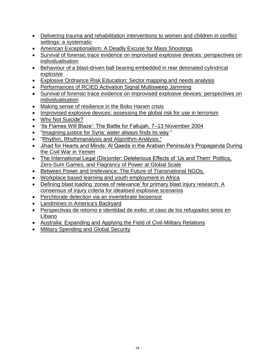- [Delivering trauma and rehabilitation interventions to women and children in conflict](revi%20https:/gh.bmj.com/content/5/Suppl_1/e001980.abstract) [settings: a systematic](revi%20https:/gh.bmj.com/content/5/Suppl_1/e001980.abstract)
- [American Exceptionalism: A Deadly Excuse for Mass Shootings](https://search.proquest.com/openview/3a703c8999a5d78b4232fc2b94ffca26/1?pq-origsite=gscholar&cbl=18750&diss=y)
- [Survival of forensic trace evidence on improvised explosive devices: perspectives on](https://www.nature.com/articles/s41598-020-69385-1) [individualisation](https://www.nature.com/articles/s41598-020-69385-1)
- [Behaviour of a blast-driven ball bearing embedded in rear detonated cylindrical](•%09https:/www.sciencedirect.com/science/article/abs/pii/S0734743X20307685) [explosive](•%09https:/www.sciencedirect.com/science/article/abs/pii/S0734743X20307685)
- [Explosive Ordnance Risk Education: Sector mapping and needs analysis](https://commons.lib.jmu.edu/cgi/viewcontent.cgi?article=2349&context=cisr-globalcwd)
- [Performances of RCIED Activation Signal Multisweep Jamming](https://www.etran.rs/2020/ZBORNIK_RADOVA/Radovi_prikazani_na_konferenciji/140_TEI1.2.pdf)
- [Survival of forensic trace evidence on improvised explosive devices: perspectives on](https://search.proquest.com/openview/7eeadd613f3533550b5f0c4179aa5677/1?pq-origsite=gscholar&cbl=2041939) [individualisation](https://search.proquest.com/openview/7eeadd613f3533550b5f0c4179aa5677/1?pq-origsite=gscholar&cbl=2041939)
- [Making sense of resilience in the Boko Haram crisis](https://journals.co.za/content/journal/10520/EJC-1fee561ef6)
- [Improvised explosive devices: assessing the global risk for use in terrorism](https://rucore.libraries.rutgers.edu/rutgers-lib/64147/)
- [Why Not Suicide?](https://link.springer.com/chapter/10.1007/978-981-13-9737-0_8)
- ['Its Flames Will Blaze': The Battle for Fallujah, 7–13 November 2004](https://link.springer.com/chapter/10.1007/978-3-030-27088-9_11)
- ["Imagining justice for Syria: water always finds its way.](https://openaccess.leidenuniv.nl/bitstream/handle/1887/87514/front.pdf?sequence=3)"
- ["Rhythm, Rhythmanalysis and Algorithm-Analysis."](•%09https:/research.gold.ac.uk/id/eprint/23989/1/Henriques_Rhythm&Algorithm.pdf)
- [Jihad for Hearts and Minds: Al Qaeda in the Arabian Peninsula's Propaganda During](https://cdr.lib.unc.edu/concern/honors_theses/cc08hn029) [the Civil War in Yemen](https://cdr.lib.unc.edu/concern/honors_theses/cc08hn029)
- [The International Legal \(Dis\)order: Deleterious Effects of 'Us and Them' Politics,](https://papers.ssrn.com/sol3/papers.cfm?abstract_id=3609321) [Zero-Sum Games, and Flagrancy of Power at Global Scale](https://papers.ssrn.com/sol3/papers.cfm?abstract_id=3609321)
- [Between Power and Irrelevance: The Future of Transnational NGOs.](https://books.google.co.uk/books?hl=en&lr=&id=THXnDwAAQBAJ&oi=fnd&pg=PP1&dq=%22action+on+armed+violence%22&ots=8PnEKgjGii&sig=Qm232Q7vykamxkmR6ZgrGzN62rI&redir_esc=y#v=onepage&q=%22action%20on%20armed%20violence%22&f=false)
- [Workplace based learning and youth employment in Africa](•https:/idl-bnc-idrc.dspacedirect.org/bitstream/handle/10625/58851/IDL%20-%2058851.pdf?sequence=2)
- [Defining blast loading 'zones of relevance' for primary blast injury research: A](https://engrxiv.org/ecqwx/) [consensus of injury criteria for idealised explosive scenarios](https://engrxiv.org/ecqwx/)
- [Perchlorate detection via an invertebrate biosensor](https://pubs.rsc.org/en/content/articlehtml/2021/ay/d0ay01732a)
- [Landmines in America's Backyard](https://commons.lib.jmu.edu/cisr-journal/vol24/iss2/11/)
- [Perspectivas de retorno e identidad de exilio: el caso de los refugiados sirios](https://repositorio.comillas.edu/xmlui/handle/11531/53232) en [Líbano](https://repositorio.comillas.edu/xmlui/handle/11531/53232)
- [Australia: Expanding and Applying the Field of Civil-Military Relations](https://oxfordre.com/politics/view/10.1093/acrefore/9780190228637.001.0001/acrefore-9780190228637-e-1885)
- [Military Spending and Global Security](https://books.google.co.uk/books?hl=en&lr=&id=FBIHEAAAQBAJ&oi=fnd&pg=PA41&dq=%22action+on+armed+violence%22&ots=Tx7jjPZ0mL&sig=KaABkdUaf4Z_i4ek18OCJa9gl98&redir_esc=y#v=onepage&q&f=false)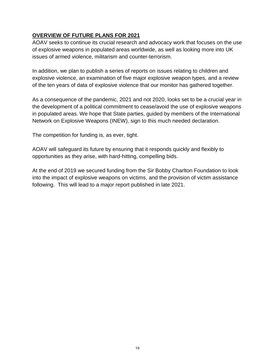### **OVERVIEW OF FUTURE PLANS FOR 2021**

AOAV seeks to continue its crucial research and advocacy work that focuses on the use of explosive weapons in populated areas worldwide, as well as looking more into UK issues of armed violence, militarism and counter-terrorism.

In addition, we plan to publish a series of reports on issues relating to children and explosive violence, an examination of five major explosive weapon types, and a review of the ten years of data of explosive violence that our monitor has gathered together.

As a consequence of the pandemic, 2021 and not 2020, looks set to be a crucial year in the development of a political commitment to cease/avoid the use of explosive weapons in populated areas. We hope that State parties, guided by members of the International Network on Explosive Weapons (INEW), sign to this much needed declaration.

The competition for funding is, as ever, tight.

AOAV will safeguard its future by ensuring that it responds quickly and flexibly to opportunities as they arise, with hard-hitting, compelling bids.

At the end of 2019 we secured funding from the Sir Bobby Charlton Foundation to look into the impact of explosive weapons on victims, and the provision of victim assistance following. This will lead to a major report published in late 2021.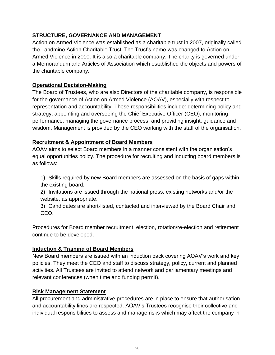### **STRUCTURE, GOVERNANCE AND MANAGEMENT**

Action on Armed Violence was established as a charitable trust in 2007, originally called the Landmine Action Charitable Trust. The Trust's name was changed to Action on Armed Violence in 2010. It is also a charitable company. The charity is governed under a Memorandum and Articles of Association which established the objects and powers of the charitable company.

### **Operational Decision-Making**

The Board of Trustees, who are also Directors of the charitable company, is responsible for the governance of Action on Armed Violence (AOAV), especially with respect to representation and accountability. These responsibilities include: determining policy and strategy, appointing and overseeing the Chief Executive Officer (CEO), monitoring performance, managing the governance process, and providing insight, guidance and wisdom. Management is provided by the CEO working with the staff of the organisation.

### **Recruitment & Appointment of Board Members**

AOAV aims to select Board members in a manner consistent with the organisation's equal opportunities policy. The procedure for recruiting and inducting board members is as follows:

1) Skills required by new Board members are assessed on the basis of gaps within the existing board.

2) Invitations are issued through the national press, existing networks and/or the website, as appropriate.

3) Candidates are short-listed, contacted and interviewed by the Board Chair and CEO.

Procedures for Board member recruitment, election, rotation/re-election and retirement continue to be developed.

### **Induction & Training of Board Members**

New Board members are issued with an induction pack covering AOAV's work and key policies. They meet the CEO and staff to discuss strategy, policy, current and planned activities. All Trustees are invited to attend network and parliamentary meetings and relevant conferences (when time and funding permit).

### **Risk Management Statement**

All procurement and administrative procedures are in place to ensure that authorisation and accountability lines are respected. AOAV's Trustees recognise their collective and individual responsibilities to assess and manage risks which may affect the company in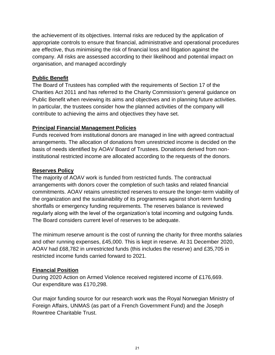the achievement of its objectives. Internal risks are reduced by the application of appropriate controls to ensure that financial, administrative and operational procedures are effective, thus minimising the risk of financial loss and litigation against the company. All risks are assessed according to their likelihood and potential impact on organisation, and managed accordingly

### **Public Benefit**

The Board of Trustees has complied with the requirements of Section 17 of the Charities Act 2011 and has referred to the Charity Commission's general guidance on Public Benefit when reviewing its aims and objectives and in planning future activities. In particular, the trustees consider how the planned activities of the company will contribute to achieving the aims and objectives they have set.

### **Principal Financial Management Policies**

Funds received from institutional donors are managed in line with agreed contractual arrangements. The allocation of donations from unrestricted income is decided on the basis of needs identified by AOAV Board of Trustees. Donations derived from noninstitutional restricted income are allocated according to the requests of the donors.

### **Reserves Policy**

The majority of AOAV work is funded from restricted funds. The contractual arrangements with donors cover the completion of such tasks and related financial commitments. AOAV retains unrestricted reserves to ensure the longer-term viability of the organization and the sustainability of its programmes against short-term funding shortfalls or emergency funding requirements. The reserves balance is reviewed regularly along with the level of the organization's total incoming and outgoing funds. The Board considers current level of reserves to be adequate.

The minimum reserve amount is the cost of running the charity for three months salaries and other running expenses, £45,000. This is kept in reserve. At 31 December 2020, AOAV had £68,782 in unrestricted funds (this includes the reserve) and £35,705 in restricted income funds carried forward to 2021.

### **Financial Position**

During 2020 Action on Armed Violence received registered income of £176,669. Our expenditure was £170,298.

Our major funding source for our research work was the Royal Norwegian Ministry of Foreign Affairs, UNMAS (as part of a French Government Fund) and the Joseph Rowntree Charitable Trust.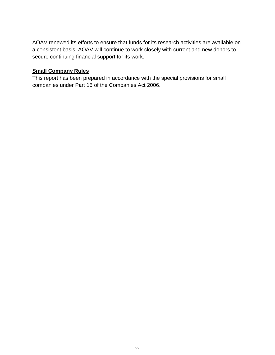AOAV renewed its efforts to ensure that funds for its research activities are available on a consistent basis. AOAV will continue to work closely with current and new donors to secure continuing financial support for its work.

### **Small Company Rules**

This report has been prepared in accordance with the special provisions for small companies under Part 15 of the Companies Act 2006.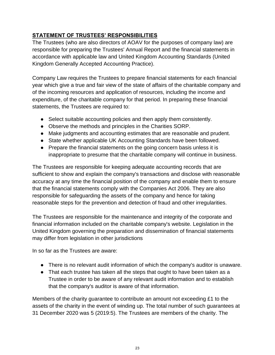### **STATEMENT OF TRUSTEES' RESPONSIBILITIES**

The Trustees (who are also directors of AOAV for the purposes of company law) are responsible for preparing the Trustees' Annual Report and the financial statements in accordance with applicable law and United Kingdom Accounting Standards (United Kingdom Generally Accepted Accounting Practice).

Company Law requires the Trustees to prepare financial statements for each financial year which give a true and fair view of the state of affairs of the charitable company and of the incoming resources and application of resources, including the income and expenditure, of the charitable company for that period. In preparing these financial statements, the Trustees are required to:

- Select suitable accounting policies and then apply them consistently.
- Observe the methods and principles in the Charities SORP.
- Make judgments and accounting estimates that are reasonable and prudent.
- State whether applicable UK Accounting Standards have been followed.
- Prepare the financial statements on the going concern basis unless it is inappropriate to presume that the charitable company will continue in business.

The Trustees are responsible for keeping adequate accounting records that are sufficient to show and explain the company's transactions and disclose with reasonable accuracy at any time the financial position of the company and enable them to ensure that the financial statements comply with the Companies Act 2006. They are also responsible for safeguarding the assets of the company and hence for taking reasonable steps for the prevention and detection of fraud and other irregularities.

The Trustees are responsible for the maintenance and integrity of the corporate and financial information included on the charitable company's website. Legislation in the United Kingdom governing the preparation and dissemination of financial statements may differ from legislation in other jurisdictions

In so far as the Trustees are aware:

- There is no relevant audit information of which the company's auditor is unaware.
- That each trustee has taken all the steps that ought to have been taken as a Trustee in order to be aware of any relevant audit information and to establish that the company's auditor is aware of that information.

Members of the charity guarantee to contribute an amount not exceeding £1 to the assets of the charity in the event of winding up. The total number of such guarantees at 31 December 2020 was 5 (2019:5). The Trustees are members of the charity. The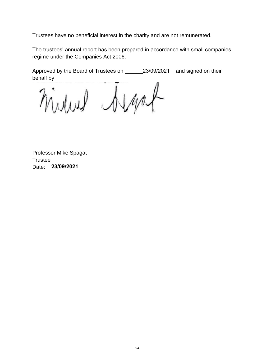Trustees have no beneficial interest in the charity and are not remunerated.

The trustees' annual report has been prepared in accordance with small companies regime under the Companies Act 2006.

Approved by the Board of Trustees on \_\_\_\_\_\_23/09/2021 and signed on their behalf by

mind drap

Professor Mike Spagat **Trustee** Date: **23/09/2021**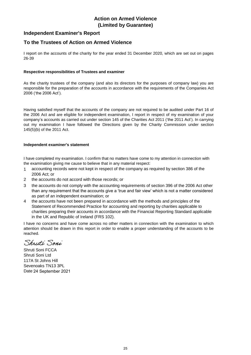### **Independent Examiner's Report**

### **To the Trustees of Action on Armed Violence**

I report on the accounts of the charity for the year ended 31 December 2020, which are set out on pages 26-39

#### **Respective responsibilities of Trustees and examiner**

As the charity trustees of the company (and also its directors for the purposes of company law) you are responsible for the preparation of the accounts in accordance with the requirements of the Companies Act 2006 ('the 2006 Act').

Having satisfied myself that the accounts of the company are not required to be audited under Part 16 of the 2006 Act and are eligible for independent examination, I report in respect of my examination of your company's accounts as carried out under section 145 of the Charities Act 2011 ('the 2011 Act'). In carrying out my examination I have followed the Directions given by the Charity Commission under section 145(5)(b) of the 2011 Act.

#### **Independent examiner's statement**

I have completed my examination. I confirm that no matters have come to my attention in connection with the examination giving me cause to believe that in any material respect:

- 1 accounting records were not kept in respect of the company as required by section 386 of the 2006 Act; or
- 2 the accounts do not accord with those records; or
- 3 the accounts do not comply with the accounting requirements of section 396 of the 2006 Act other than any requirement that the accounts give a 'true and fair view' which is not a matter considered as part of an independent examination; or
- 4 the accounts have not been prepared in accordance with the methods and principles of the Statement of Recommended Practice for accounting and reporting by charities applicable to charities preparing their accounts in accordance with the Financial Reporting Standard applicable in the UK and Republic of Ireland (FRS 102).

I have no concerns and have come across no other matters in connection with the examination to which attention should be drawn in this report in order to enable a proper understanding of the accounts to be reached.

Shriti Soni

Shruti Soni FCCA Shruti Soni Ltd 117A St Johns Hill Sevenoaks TN13 3PL Date 24 September 2021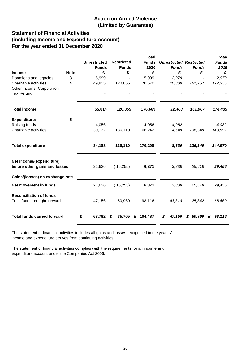### **Statement of Financial Activities (including Income and Expenditure Account) For the year ended 31 December 2020**

|                                                               |             |                     |                   | <b>Total</b> |                                |              | <b>Total</b> |
|---------------------------------------------------------------|-------------|---------------------|-------------------|--------------|--------------------------------|--------------|--------------|
|                                                               |             | <b>Unrestricted</b> | <b>Restricted</b> | <b>Funds</b> | <b>Unrestricted Restricted</b> |              | <b>Funds</b> |
|                                                               |             | <b>Funds</b>        | <b>Funds</b>      | 2020         | <b>Funds</b>                   | <b>Funds</b> | 2019         |
| Income                                                        | <b>Note</b> | £                   | £                 | £            | £                              | £            | £            |
| Donations and legacies                                        | 3           | 5,999               |                   | 5,999        | 2,079                          |              | 2,079        |
| Charitable activities                                         | 4           | 49,815              | 120,855           | 170,670      | 10,389                         | 161,967      | 172,356      |
| Other income: Corporation                                     |             |                     |                   |              |                                |              |              |
| <b>Tax Refund</b>                                             |             |                     |                   |              |                                |              |              |
| <b>Total income</b>                                           |             | 55,814              | 120,855           | 176,669      | 12,468                         | 161,967      | 174,435      |
| <b>Expenditure:</b>                                           | 5           |                     |                   |              |                                |              |              |
| Raising funds                                                 |             | 4,056               |                   | 4,056        | 4,082                          |              | 4,082        |
| Charitable activities                                         |             | 30,132              | 136,110           | 166,242      | 4,548                          | 136,349      | 140,897      |
| <b>Total expenditure</b>                                      |             | 34,188              | 136,110           | 170,298      | 8,630                          | 136,349      | 144,979      |
| Net income/(expenditure)<br>before other gains and losses     |             | 21,626              | (15,255)          | 6,371        | 3,838                          | 25,618       | 29,456       |
| Gains/(losses) on exchange rate                               |             |                     |                   |              |                                |              |              |
| Net movement in funds                                         |             | 21,626              | (15,255)          | 6,371        | 3,838                          | 25,618       | 29,456       |
| <b>Reconciliation of funds</b><br>Total funds brought forward |             | 47,156              | 50,960            | 98,116       | 43,318                         | 25,342       | 68,660       |
| <b>Total funds carried forward</b>                            |             | £<br>68,782         | 35,705<br>£       | 104,487<br>£ | £<br>47,156                    | £ 50,960     | 98,116<br>£  |

The statement of financial activities includes all gains and losses recognised in the year. All income and expenditure derives from continuing activities.

The statement of financial activities complies wiith the requirements for an income and expenditure account under the Companies Act 2006.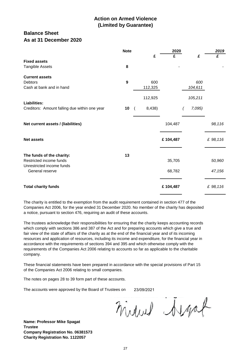### **Balance Sheet As at 31 December 2020**

|                                                                                                      | <b>Note</b>  |                   | 2020             |                   | 2019             |
|------------------------------------------------------------------------------------------------------|--------------|-------------------|------------------|-------------------|------------------|
| <b>Fixed assets</b><br><b>Tangible Assets</b>                                                        | 8            | £                 | £                | £                 | £                |
| <b>Current assets</b><br><b>Debtors</b><br>Cash at bank and in hand                                  | $\mathbf{9}$ | 600<br>112,325    |                  | 600<br>104,611    |                  |
| <b>Liabilities:</b><br>Creditors: Amount falling due within one year                                 | 10           | 112,925<br>8,438) |                  | 105,211<br>7,095) |                  |
| Net current assets / (liabilities)                                                                   |              |                   | 104,487          |                   | 98,116           |
| <b>Net assets</b>                                                                                    |              |                   | £104,487         |                   | £ 98,116         |
| The funds of the charity:<br>Restricted income funds<br>Unrestricted income funds<br>General reserve | 13           |                   | 35,705<br>68,782 |                   | 50,960<br>47,156 |
| <b>Total charity funds</b>                                                                           |              |                   | £104,487         |                   | £ 98,116         |

The charity is entitled to the exemption from the audit requirement contained in section 477 of the Companies Act 2006, for the year ended 31 December 2020. No member of the charity has deposited a notice, pursuant to section 476, requiring an audit of these accounts.

The trustees acknowledge their responsibilities for ensuring that the charity keeps accounting records which comply with sections 386 and 387 of the Act and for preparing accounts which give a true and fair view of the state of affairs of the charity as at the end of the financial year and of its incoming resources and application of resources, including its income and expenditure, for the financial year in accordance with the requirements of sections 394 and 395 and which otherwise comply with the requirements of the Companies Act 2006 relating to accounts so far as applicable to the charitable company.

These financial statements have been prepared in accordance with the special provisions of Part 15 of the Companies Act 2006 relating to small companies.

The notes on pages 28 to 39 form part of these accounts.

The accounts were approved by the Board of Trustees on 23/09/2021

midwel Argat

**Name: Professor Mike Spagat Trustee Company Registration No. 06381573 Charity Registration No. 1122057**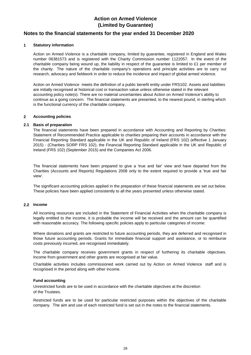### **Notes to the financial statements for the year ended 31 December 2020**

#### **1 Statutory information**

Action on Armed Violence is a charitable company, limited by guarantee, registered in England and Wales number 06381573 and is registered with the Charity Commission number 1122057. In the event of the charitable company being wound up, the liability in respect of the quarantee is limited to  $£1$  per member of the charity. The nature of the charitable company's operations and principle activities are to carry out research, advocacy and fieldwork in order to reduce the incidence and impact of global armed violence.

Action on Armed Violence meets the definition of a public benefit entity under FRS102. Assets and liabilities are initially recognised at historical cost or transaction value unless otherwise stated in the relevant accounting policy note(s). There are no material uncertainties about Action on Armed Violence's ability to continue as a going concern. The financial statements are presented, to the nearest pound, in sterling which is the functional currency of the charitable company.

#### **2 Accounting policies**

#### **2.1 Basis of preparation**

The financial statements have been prepared in accordance with Accounting and Reporting by Charities: Statement of Recommended Practice applicable to charities preparing their accounts in accordance with the Financial Reporting Standard applicable in the UK and Republic of Ireland (FRS 102) (effective 1 January 2015) - (Charities SORP FRS 102), the Financial Reporting Standard applicable in the UK and Republic of Ireland (FRS 102) (September 2015) and the Companies Act 2006.

The financial statements have been prepared to give a 'true and fair' view and have departed from the Charities (Accounts and Reports) Regulations 2008 only to the extent required to provide a 'true and fair view'.

The significant accounting policies applied in the preparation of these financial statements are set out below. These policies have been applied consistently to all the years presented unless otherwise stated.

#### **2.2 Income**

All incoming resources are included in the Statement of Financial Activities when the charitable company is legally entitled to the income, it is probable the income will be received and the amount can be quantified with reasonable accuracy. The following specific policies apply to particular categories of income:

Where donations and grants are restricted to future accounting periods, they are deferred and recognised in those future accounting periods. Grants for immediate financial support and assistance, or to reimburse costs previously incurred, are recognised immediately.

The charitable company receives government grants in respect of furthering its charitable objectives. Income from government and other grants are recognised at fair value.

Charitable activities includes commissioned work carried out by Action on Armed Violence staff and is recognised in the period along with other income.

#### **Fund accounting**

of the Trustees. Unrestricted funds are to be used in accordance with the charitable objectives at the discretion

Restricted funds are to be used for particular restricted purposes within the objectives of the charitable company. The aim and use of each restricted fund is set out in the notes to the financial statements.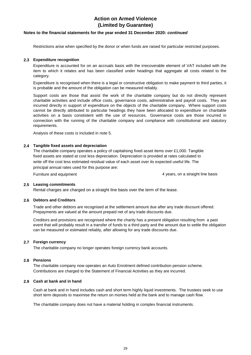#### **Notes to the financial statements for the year ended 31 December 2020:** *continued*

Restrictions arise when specified by the donor or when funds are raised for particular restricted purposes.

#### **2.3 Expenditure recognition**

Expenditure is accounted for on an accruals basis with the irrecoverable element of VAT included with the item to which it relates and has been classified under headings that aggregate all costs related to the category.

Expenditure is recognised when there is a legal or constructive obligation to make payment to third parties, it is probable and the amount of the obligation can be measured reliably.

Support costs are those that assist the work of the charitable company but do not directly represent charitable activities and include office costs, governance costs, administrative and payroll costs. They are incurred directly in support of expenditure on the objects of the charitable company. Where support costs cannot be directly attributed to particular headings they have been allocated to expenditure on charitable activities on a basis constistent with the use of resources. Governance costs are those incurred in connection with the running of the charitable company and compliance with consititutional and statutory requirements.

Analysis of these costs is included in note 5.

#### **2.4 Tangible fixed assets and depreciation**

The charitable company operates a policy of capitalising fixed asset items over £1,000. Tangible fixed assets are stated at cost less depreciation. Depreciation is provided at rates calculated to write off the cost less estimated residual value of each asset over its expected useful life. The principal annual rates used for this purpose are:

Furniture and equipment

4 years, on a straight line basis

#### **2.5 Leasing commitments**

Rental charges are charged on a straight line basis over the term of the lease.

#### **2.6 Debtors and Creditors**

Trade and other debtors are recognised at the settlement amount due after any trade discount offered. Prepayments are valued at the amount prepaid net of any trade discounts due.

Creditors and provisions are recognised where the charity has a present obligation resulting from a past event that will probably result in a transfer of funds to a third party and the amount due to settle the obligation can be measured or estimated reliably, after allowing for any trade discounts due.

#### **2.7 Foreign currency**

The charitable company no longer operates foreign currency bank accounts.

#### **2.8 Pensions**

Contributions are charged to the Statement of Financial Activities as they are incurred. The charitable company now operates an Auto Enrolment defined contribution pension scheme.

#### **2.9 Cash at bank and in hand**

Cash at bank and in hand includes cash and short term highly liquid investments. The trustees seek to use short term deposits to maximise the return on monies held at the bank and to manage cash flow.

The charitable company does not have a material holding in complex financial instruments.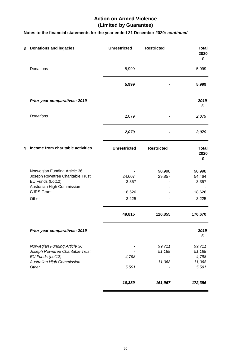### **Notes to the financial statements for the year ended 31 December 2020:** *continued*

| 3 | <b>Donations and legacies</b>                                                                                                           | <b>Unrestricted</b>       | <b>Restricted</b>          | <b>Total</b><br>2020<br>£                    |
|---|-----------------------------------------------------------------------------------------------------------------------------------------|---------------------------|----------------------------|----------------------------------------------|
|   | Donations                                                                                                                               | 5,999                     |                            | 5,999                                        |
|   |                                                                                                                                         | 5,999                     |                            | 5,999                                        |
|   | Prior year comparatives: 2019                                                                                                           |                           |                            | 2019<br>£                                    |
|   | <b>Donations</b>                                                                                                                        | 2,079                     |                            | 2,079                                        |
|   |                                                                                                                                         | 2,079                     |                            | 2,079                                        |
| 4 | Income from charitable activities                                                                                                       | <b>Unrestricted</b>       | <b>Restricted</b>          | <b>Total</b><br>2020<br>£                    |
|   | Norwegian Funding Article 36<br>Joseph Rowntree Charitable Trust<br>EU Funds (Lot12)<br>Australian High Commission<br><b>CJRS Grant</b> | 24,607<br>3,357<br>18,626 | 90,998<br>29,857           | 90,998<br>54,464<br>3,357<br>18,626          |
|   | Other                                                                                                                                   | 3,225<br>49,815           | 120,855                    | 3,225<br>170,670                             |
|   | Prior year comparatives: 2019                                                                                                           |                           |                            | 2019<br>£                                    |
|   | Norwegian Funding Article 36<br>Joseph Rowntree Charitable Trust<br>EU Funds (Lot12)<br>Australian High Commission<br>Other             | 4,798<br>5,591            | 99,711<br>51,188<br>11,068 | 99,711<br>51,188<br>4,798<br>11,068<br>5,591 |
|   |                                                                                                                                         | 10,389                    | 161,967                    | 172,356                                      |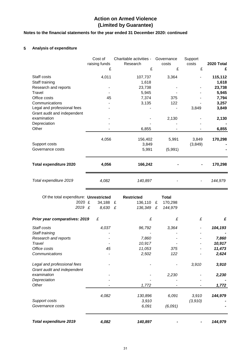### **Notes to the financial statements for the year ended 31 December 2020: continued**

#### **5 Analysis of expenditure**

|                                            | Cost of<br>raising funds | Charitable activities -<br>Research | Governance<br>costs | Support<br>costs | 2020 Total      |
|--------------------------------------------|--------------------------|-------------------------------------|---------------------|------------------|-----------------|
|                                            | £                        | £                                   | £                   | £                | £               |
| Staff costs                                | 4,011                    | 107,737                             | 3,364               |                  | 115,112         |
| Staff training                             |                          | 1,618                               |                     |                  | 1,618           |
| Research and reports                       |                          | 23,738                              |                     |                  | 23,738          |
| Travel                                     |                          | 5,945                               |                     |                  | 5,945           |
| Office costs                               | 45                       | 7,374                               | 375                 |                  | 7,794           |
| Communications                             |                          | 3,135                               | 122                 |                  | 3,257           |
| Legal and professional fees                |                          |                                     |                     | 3,849            | 3,849           |
| Grant audit and independent                |                          |                                     |                     |                  |                 |
| examination                                |                          |                                     | 2,130               |                  | 2,130           |
| Depreciation                               |                          |                                     |                     |                  |                 |
| Other                                      |                          | 6,855                               |                     |                  | 6,855           |
|                                            | 4,056                    | 156,402                             | 5,991               | 3,849            | 170,298         |
| Support costs                              |                          | 3,849                               |                     | (3,849)          |                 |
| Governance costs                           |                          | 5,991                               | (5,991)             |                  |                 |
|                                            |                          |                                     |                     |                  |                 |
| <b>Total expenditure 2020</b>              | 4,056                    | 166,242                             |                     |                  | 170,298         |
|                                            |                          |                                     |                     |                  |                 |
| Total expenditure 2019                     | 4,082                    | 140,897                             |                     |                  | 144,979         |
|                                            |                          |                                     |                     |                  |                 |
| Of the total expenditure: Unrestricted     |                          | <b>Restricted</b>                   | <b>Total</b>        |                  |                 |
| 2020 £                                     | 34,188                   | 136,110<br>£                        | £<br>170,298        |                  |                 |
| 2019 £                                     | 8,630                    | $\mathbf f$<br>136,349              | £<br>144,979        |                  |                 |
| Prior year comparatives: 2019              | £                        | £                                   | £                   | £                | £               |
|                                            |                          |                                     |                     |                  |                 |
| Staff costs                                | 4,037                    | 96,792                              | 3,364               |                  | 104,193         |
| Staff training                             |                          |                                     |                     |                  |                 |
| Research and reports<br>Travel             |                          | 7,860<br>10,917                     |                     |                  | 7,860<br>10,917 |
| Office costs                               | 45                       | 11,053                              | 375                 |                  | 11,473          |
| Communications                             |                          | 2,502                               | 122                 |                  | 2,624           |
|                                            |                          |                                     |                     |                  |                 |
| Legal and professional fees                |                          |                                     |                     | 3,910            | 3,910           |
| Grant audit and independent<br>examination |                          |                                     |                     |                  |                 |
|                                            |                          |                                     | 2,230               |                  | 2,230           |
| Depreciation<br>Other                      |                          | 1,772                               |                     |                  | 1,772           |
|                                            |                          |                                     |                     |                  |                 |
| Support costs                              | 4,082                    | 130,896                             | 6,091               | 3,910            | 144,979         |
| Governance costs                           |                          | 3,910<br>6,091                      | (6,091)             | (3,910)          |                 |
|                                            |                          |                                     |                     |                  |                 |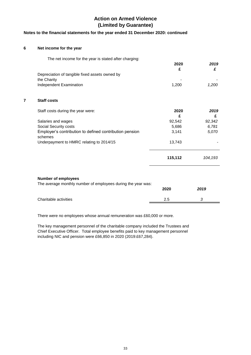### **Notes to the financial statements for the year ended 31 December 2020: continued**

#### **6 Net income for the year**

| The net income for the year is stated after charging:              | 2020<br>£ | 2019<br>£ |
|--------------------------------------------------------------------|-----------|-----------|
| Depreciation of tangible fixed assets owned by                     |           |           |
| the Charity                                                        |           |           |
| Independent Examination                                            | 1,200     | 1,200     |
| <b>Staff costs</b>                                                 |           |           |
| Staff costs during the year were:                                  | 2020<br>£ | 2019<br>£ |
| Salaries and wages                                                 | 92,542    | 92,342    |
| Social Security costs                                              | 5,686     | 6,781     |
| Employer's contribution to defined contribution pension<br>schemes | 3,141     | 5,070     |
| Underpayment to HMRC relating to 2014/15                           | 13,743    |           |
|                                                                    | 115,112   | 104,193   |

|                       | 2020 | 2019 |
|-----------------------|------|------|
| Charitable activities | 2.5  |      |
|                       |      |      |

There were no employees whose annual remuneration was £60,000 or more.

The key management personnel of the charitable company included the Trustees and Chief Executive Officer. Total employee benefits paid to key management personnel including NIC and pension were £66,850 in 2020 (2019:£67,284).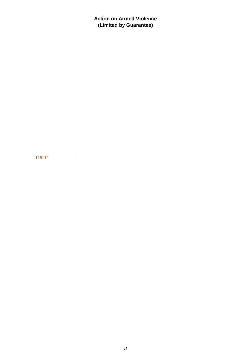115112 -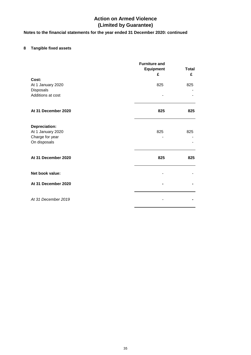### **Notes to the financial statements for the year ended 31 December 2020: continued**

### **8 Tangible fixed assets**

|                                 | <b>Furniture and</b><br><b>Equipment</b><br>£ | <b>Total</b><br>£ |
|---------------------------------|-----------------------------------------------|-------------------|
| Cost:                           |                                               |                   |
| At 1 January 2020               | 825                                           | 825               |
| Disposals                       |                                               |                   |
| Additions at cost               |                                               |                   |
| At 31 December 2020             | 825                                           | 825               |
| <b>Depreciation:</b>            |                                               |                   |
| At 1 January 2020               | 825                                           | 825               |
| Charge for year<br>On disposals |                                               |                   |
| At 31 December 2020             | 825                                           | 825               |
| Net book value:                 |                                               |                   |
| At 31 December 2020             |                                               |                   |
| At 31 December 2019             |                                               |                   |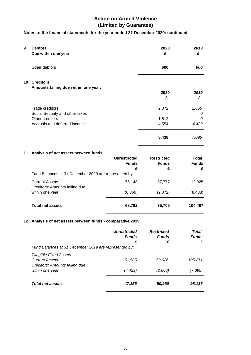### **Notes to the financial statements for the year ended 31 December 2020: continued**

| 9  | <b>Debtors</b><br>Due within one year:                  |                     | 2020<br>£         | 2019<br>£         |
|----|---------------------------------------------------------|---------------------|-------------------|-------------------|
|    | Other debtors                                           |                     | 600               | 600               |
|    | 10 Creditors                                            |                     |                   |                   |
|    | Amounts falling due within one year:                    |                     | 2020              | 2019              |
|    |                                                         |                     | £                 | £                 |
|    | <b>Trade creditors</b>                                  |                     | 2,072             | 2,666             |
|    | Social Security and other taxes                         |                     |                   | 0                 |
|    | Other creditors<br>Accruals and deferred income         |                     | 1,812<br>4,554    | 0<br>4,429        |
|    |                                                         |                     | 8,438             | 7,095             |
| 11 | Analysis of net assets between funds                    |                     |                   |                   |
|    |                                                         | <b>Unrestricted</b> | <b>Restricted</b> | <b>Total</b>      |
|    |                                                         | <b>Funds</b>        | <b>Funds</b>      | <b>Funds</b>      |
|    | Fund Balances at 31 December 2020 are represented by:   | £                   | £                 | £                 |
|    | <b>Current Assets</b><br>Creditors: Amounts falling due | 75,148              | 37,777            | 112,925           |
|    | within one year                                         | (6,366)             | (2,072)           | (8, 438)          |
|    | <b>Total net assets</b>                                 | 68,782              | 35,705            | 104,487           |
| 12 | Analysis of net assets between funds - comparative 2019 |                     |                   |                   |
|    |                                                         | <b>Unrestricted</b> | <b>Restricted</b> | <b>Total</b>      |
|    |                                                         | <b>Funds</b><br>£   | <b>Funds</b><br>£ | <b>Funds</b><br>£ |
|    | Fund Balances at 31 December 2019 are represented by:   |                     |                   |                   |
|    | <b>Tangible Fixed Assets</b>                            |                     |                   |                   |
|    | <b>Current Assets</b>                                   | 51,585              | 53,626            | 105,211           |
|    | Creditors: Amounts falling due<br>within one year       | (4, 429)            | (2,666)           | (7,095)           |
|    | <b>Total net assets</b>                                 | 47,156              | 50,960            | 98,116            |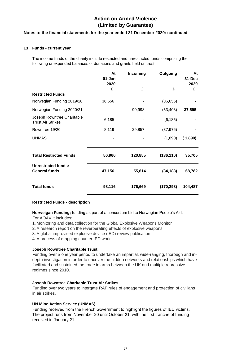#### **Notes to the financial statements for the year ended 31 December 2020: continued**

#### **13 Funds - current year**

The income funds of the charity include restricted and unrestricted funds comprising the following unexpended balances of donations and grants held on trust:

|                                                        | At<br>01-Jan<br>2020 | Incoming | Outgoing   | At<br>31-Dec<br>2020 |
|--------------------------------------------------------|----------------------|----------|------------|----------------------|
|                                                        | £                    | £        | £          | £                    |
| <b>Restricted Funds</b>                                |                      |          |            |                      |
| Norwegian Funding 2019/20                              | 36,656               |          | (36, 656)  |                      |
| Norwegian Funding 2020/21                              |                      | 90,998   | (53, 403)  | 37,595               |
| Joseph Rowntree Charitable<br><b>Trust Air Strikes</b> | 6,185                |          | (6, 185)   |                      |
| Rowntree 19/20                                         | 8,119                | 29,857   | (37, 976)  |                      |
| <b>UNMAS</b>                                           |                      |          | (1,890)    | (1,890)              |
| <b>Total Restricted Funds</b>                          | 50,960               | 120,855  | (136, 110) | 35,705               |
| <b>Unrestricted funds:</b><br><b>General funds</b>     | 47,156               | 55,814   | (34, 188)  | 68,782               |
| <b>Total funds</b>                                     | 98,116               | 176,669  | (170, 298) | 104,487              |

#### **Restricted Funds - description**

**Norweigan Funding;** funding as part of a consortium bid to Norwegian People's Aid.

For AOAV it includes:

- 1. Monitoring and data collection for the Global Explosive Weapons Monitor
- 2. A research report on the reverberating effects of explosive weapons
- 3. A global improvised explosive device (IED) review publication
- 4. A process of mapping counter IED work

#### **Joseph Rowntree Charitable Trust**

Funding over a one year period to undertake an impartial, wide-ranging, thorough and indepth investigation in order to uncover the hidden networks and relationships which have facilitated and sustained the trade in arms between the UK and multiple repressive regimes since 2010.

#### **Joseph Rowntree Charitable Trust Air Strikes**

Funding over two years to intergate RAF rules of engagement and protection of civilians in air strikes.

#### **UN Mine Action Service (UNMAS)**

Funding received from the French Government to highlight the figures of IED victims. The project runs from November 20 until October 21, with the first tranche of funding received in January 21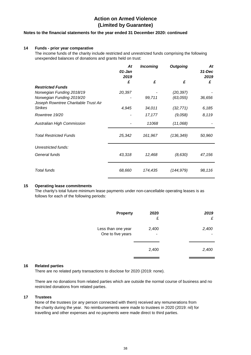#### **Notes to the financial statements for the year ended 31 December 2020: continued**

#### **14 Funds - prior year comparative**

The income funds of the charity include restricted and unrestricted funds comprising the following unexpended balances of donations and grants held on trust:

|                                                                   | At<br>01-Jan<br>2019 | <b>Incoming</b> | <b>Outgoing</b> | At<br>$31 - Dec$<br>2019 |
|-------------------------------------------------------------------|----------------------|-----------------|-----------------|--------------------------|
|                                                                   | £                    | £               | £               | £                        |
| <b>Restricted Funds</b>                                           |                      |                 |                 |                          |
| Norwegian Funding 2018/19                                         | 20,397               |                 | (20, 397)       |                          |
| Norwegian Funding 2019/20<br>Joseph Rowntree Charitable Trust Air |                      | 99,711          | (63,055)        | 36,656                   |
| <b>Strikes</b>                                                    | 4,945                | 34,011          | (32, 771)       | 6,185                    |
| Rowntree 19/20                                                    |                      | 17,177          | (9,058)         | 8,119                    |
| <b>Australian High Commission</b>                                 |                      | 11068           | (11,068)        |                          |
| <b>Total Restricted Funds</b>                                     | 25,342               | 161,967         | (136,349)       | 50,960                   |
| Unrestricted funds:                                               |                      |                 |                 |                          |
| General funds                                                     | 43,318               | 12,468          | (8,630)         | 47,156                   |
| Total funds                                                       | 68,660               | 174,435         | (144,979)       | 98,116                   |

#### **15 Operating lease commitments**

The charity's total future minimum lease payments under non-cancellable operating leases is as follows for each of the following periods:

| <b>Property</b>                         | 2020<br>£  | 2019<br>£ |
|-----------------------------------------|------------|-----------|
| Less than one year<br>One to five years | 2,400<br>- | 2,400     |
|                                         | 2,400      | 2,400     |

#### **16 Related parties**

There are no related party transactions to disclose for 2020 (2019: none).

restricted donations from related parties. There are no donations from related parties which are outside the normal course of business and no

#### **17 Trustees**

None of the trustees (or any person connected with them) received any remunerations from the charity during the year. No reimbursements were made to trustees in 2020 (2019: nil) for travelling and other expenses and no payments were made direct to third parties.